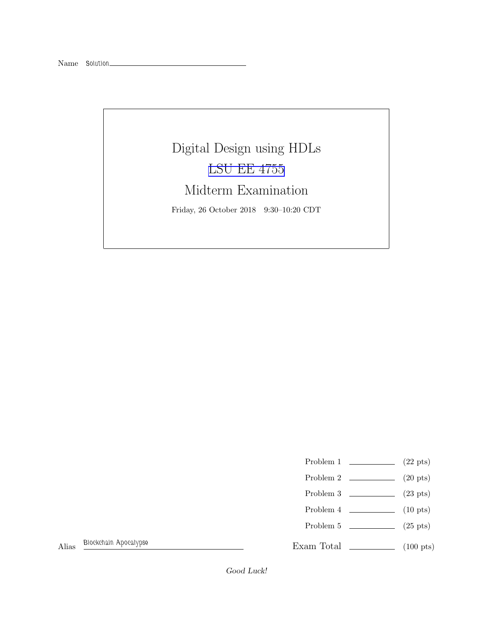## Digital Design using HDLs [LSU EE 4755](https://www.ece.lsu.edu/koppel/v/) Midterm Examination Friday, 26 October 2018 9:30–10:20 CDT

- Problem 1  $\qquad \qquad$  (22 pts)
- Problem 2  $\qquad \qquad$  (20 pts)
- Problem 3 (23 pts)
- Problem 4  $\qquad \qquad$  (10 pts)
- Problem 5 (25 pts)

Exam Total (100 pts)

Alias *Blockchain Apocalypse*

Good Luck!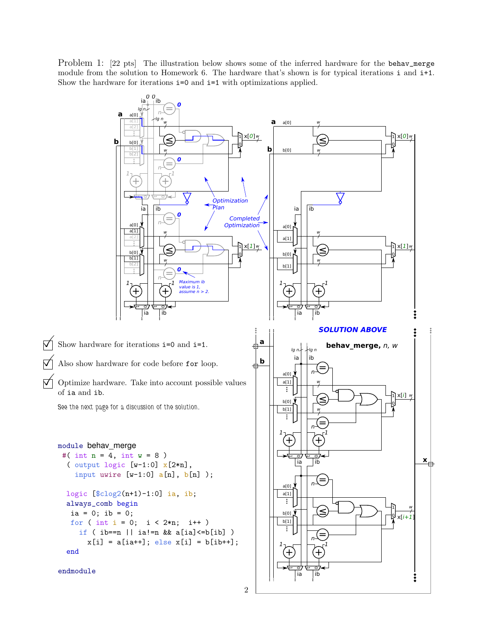Problem 1: [22 pts] The illustration below shows some of the inferred hardware for the behav\_merge module from the solution to Homework 6. The hardware that's shown is for typical iterations i and i+1. Show the hardware for iterations  $i=0$  and  $i=1$  with optimizations applied.



```
2
```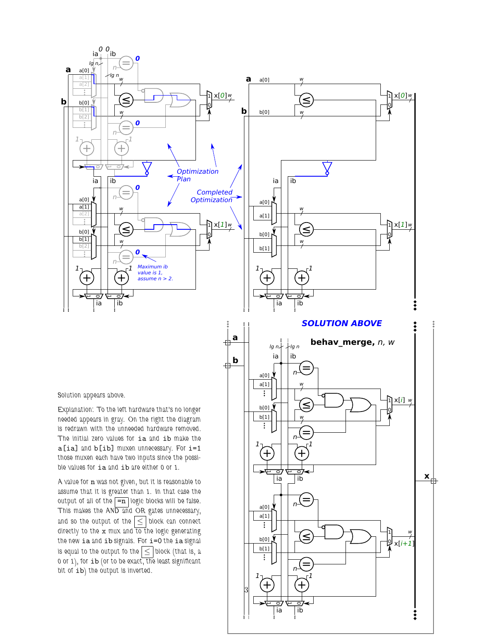

曲

毌

*Solution appears above.*

*Explanation: To the left hardware that's no longer needed appears in gray. On the right the diagram is redrawn with the unneeded hardware removed. The initial zero values for* ia *and* ib *make the* a[ia] *and* b[ib] *muxen unnecessary. For* i=1 *those muxen each have two inputs since the possible values for* ia *and* ib *are either 0 or 1.*

*A value for* n *was not given, but it is reasonable to assume that it is greater than 1. In that case the output of all of the*  $\boxed{=}n$  *logic blocks will be false. This makes the AND and OR gates unnecessary,* and so the output of the  $\leq$  block can connect *directly to the* x *mux and to the logic generating the new* ia *and* ib *signals. For* i=0 *the* ia *signal is equal to the output fo the*  $\leq$  *block (that is, a 0 or 1), for* ib *(or to be exact, the least significant bit of* ib*) the output is inverted.*

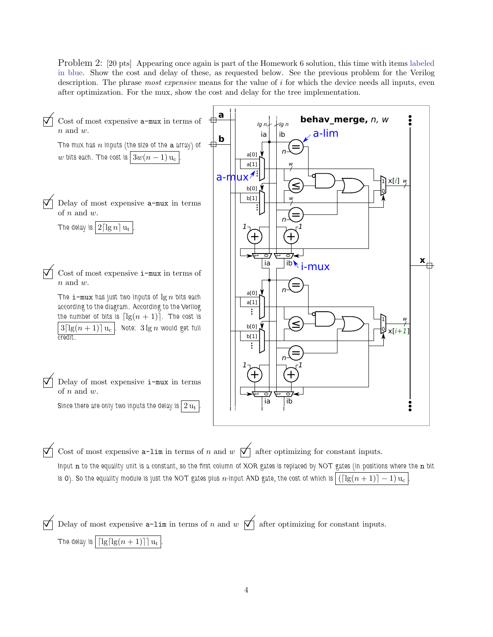Problem 2: [20 pts] Appearing once again is part of the Homework 6 solution, this time with items labeled in blue. Show the cost and delay of these, as requested below. See the previous problem for the Verilog description. The phrase *most expensive* means for the value of i for which the device needs all inputs, even after optimization. For the mux, show the cost and delay for the tree implementation.

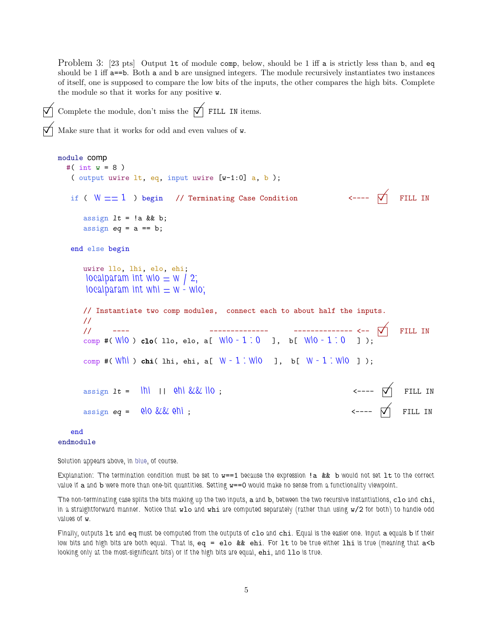Problem 3: [23 pts] Output 1t of module comp, below, should be 1 iff a is strictly less than b, and eq should be 1 iff a==b. Both a and b are unsigned integers. The module recursively instantiates two instances of itself, one is supposed to compare the low bits of the inputs, the other compares the high bits. Complete the module so that it works for any positive w.



Complete the module, don't miss the  $\overrightarrow{\bigvee}$  FILL IN items.

Make sure that it works for odd and even values of <sup>w</sup>.

```
module comp
 #( int w = 8 )
   ( output uwire lt, eq, input uwire [v-1:0] a, b );
  if ( W == 1 ) begin // Terminating Case Condition \longleftarrow ---- \bigwedge FILL IN
     assign It = !a && b;
     assign eq = a == b;
  end else begin
     uwire llo, lhi, elo, ehi;
      localparam int wlo = w / 2;
      localparam int whi = w - wlo;
     // Instantiate two comp modules, connect each to about half the inputs.
     //
     // ---- -------------- -------------- <--  FILL IN
     comp #( W<sup>1</sup>0) clo( 11o, elo, a[ W<sup>1</sup>0 - 1 : 0 ], b[ W<sup>1</sup>0 - 1 : 0 ]);
     comp #( whi ) 
hi( lhi, ehi, a[ w - 1 : wlo ], b[ w - 1 : wlo ] );
     assign 1t = \ln |\sin \theta| \leq \ln |\cos \theta| ; \cos \theta = -\ln |\cos \theta| FILL IN
     assign eq = \thetalo && \thetahi; \leq -1 \theta FILL IN
  end
```
endmodule

*Solution appears above, in blue, of course.*

*Explanation: The termination condition must be set to* w==1 *because the expression* !a && b *would not set* lt *to the correct value if* a *and* b *were more than one-bit quantities. Setting* w==0 *would make no sense from a functionality viewpoint.*

*The non-terminating case splits the bits making up the two inputs,* a *and* b*, between the two recursive instantiations,* clo *and* chi*, in a straightforward manner. Notice that* wlo *and* whi *are computed separately (rather than using* w/2 *for both) to handle odd values of* w*.*

*Finally, outputs* lt *and* eq *must be computed from the outputs of* clo *and* chi*. Equal is the easier one. Input* a *equals* b *if their low bits and high bits are both equal. That is,* eq = elo && ehi*. For* lt *to be true either* lhi *is true (meaning that* a<b *looking only at the most-significant bits) or if the high bits are equal,* ehi*, and* llo *is true.*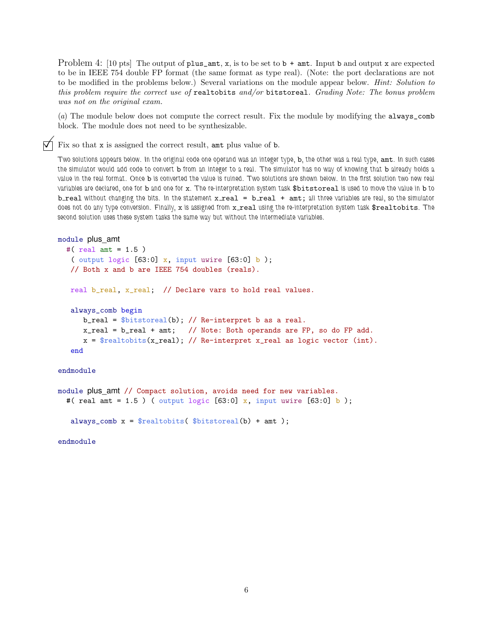Problem 4: [10 pts] The output of plus\_amt, x, is to be set to  $\mathfrak{b}$  + amt. Input b and output x are expected to be in IEEE 754 double FP format (the same format as type real). (Note: the port declarations are not to be modified in the problems below.) Several variations on the module appear below. *Hint: Solution to this problem require the correct use of* realtobits *and/or* bitstoreal*. Grading Note: The bonus problem was not on the original exam.*

(*a*) The module below does not compute the correct result. Fix the module by modifying the always\_comb block. The module does not need to be synthesizable.

 $\nabla$  Fix so that x is assigned the correct result, and plus value of b.

*Two solutions appears below. In the original code one operand was an integer type,* b*, the other was a real type,* amt*. In such cases the simulator would add code to convert* b *from an integer to a real. The simulator has no way of knowing that* b *already holds a value in the real format. Once* b *is converted the value is ruined. Two solutions are shown below. In the first solution two new real variables are declared, one for* b *and one for* x*. The re-interpretation system task* \$bitstoreal *is used to move the value in* b *to* b\_real without changing the bits. In the statement  $x$ \_real = b\_real + amt; all three variables are real, so the simulator *does not do any type conversion. Finally, x is assigned from x\_real using the re-interpretation system task \$realtobits. The second solution uses these system tasks the same way but without the intermediate variables.*

```
module plus_amt
```

```
#( real amt = 1.5 )
 ( output logic [63:0] x, input uwire [63:0] b);
 // Both x and b are IEEE 754 doubles (reals).
real b_real, x_real; // Declare vars to hold real values.
 always_comb begin
    b_{real} = b_{th} = b_{th} = b_{th} \}/ Re-interpret b as a real.
    x_real = b_real + amt; // Note: Both operands are FP, so do FP add.
    x = $realtobits(x_real); // Re-interpret x_real as logic vector (int).
 end
```

```
endmodule
```

```
module plus_amt // Compact solution, avoids need for new variables.
  #( real amt = 1.5 ) ( output logic [63:0] x, input uwire [63:0] b);
   always_comb x = $realtobits($bitstoreal(b) + amt);
```
endmodule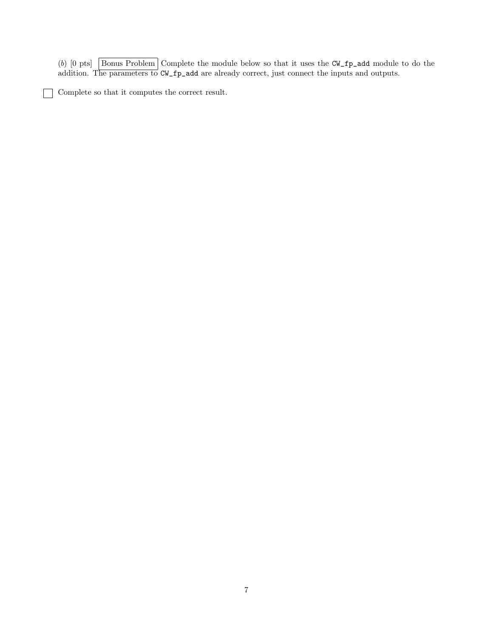(*b*) [0 pts]  $\boxed{\text{Bonus Problem}}$  Complete the module below so that it uses the CW\_fp\_add module to do the addition. The parameters to CW\_fp\_add are already correct, just connect the inputs and outputs.

 $\fbox{Complete so that it computes the correct result.}$